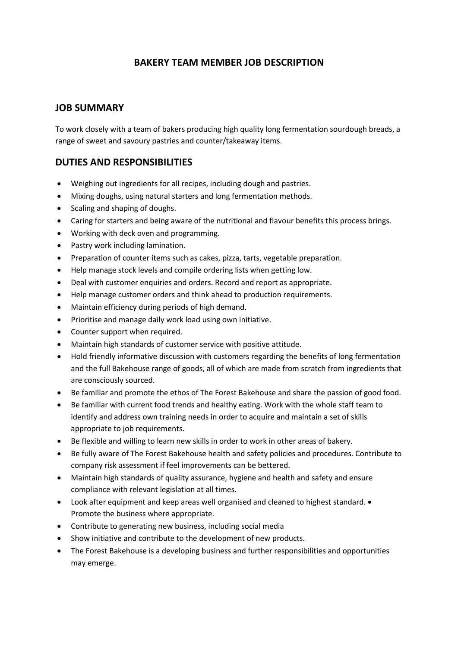## **BAKERY TEAM MEMBER JOB DESCRIPTION**

### **JOB SUMMARY**

To work closely with a team of bakers producing high quality long fermentation sourdough breads, a range of sweet and savoury pastries and counter/takeaway items.

### **DUTIES AND RESPONSIBILITIES**

- Weighing out ingredients for all recipes, including dough and pastries.
- Mixing doughs, using natural starters and long fermentation methods.
- Scaling and shaping of doughs.
- Caring for starters and being aware of the nutritional and flavour benefits this process brings.
- Working with deck oven and programming.
- Pastry work including lamination.
- Preparation of counter items such as cakes, pizza, tarts, vegetable preparation.
- Help manage stock levels and compile ordering lists when getting low.
- Deal with customer enquiries and orders. Record and report as appropriate.
- Help manage customer orders and think ahead to production requirements.
- Maintain efficiency during periods of high demand.
- Prioritise and manage daily work load using own initiative.
- Counter support when required.
- Maintain high standards of customer service with positive attitude.
- Hold friendly informative discussion with customers regarding the benefits of long fermentation and the full Bakehouse range of goods, all of which are made from scratch from ingredients that are consciously sourced.
- Be familiar and promote the ethos of The Forest Bakehouse and share the passion of good food.
- Be familiar with current food trends and healthy eating. Work with the whole staff team to identify and address own training needs in order to acquire and maintain a set of skills appropriate to job requirements.
- Be flexible and willing to learn new skills in order to work in other areas of bakery.
- Be fully aware of The Forest Bakehouse health and safety policies and procedures. Contribute to company risk assessment if feel improvements can be bettered.
- Maintain high standards of quality assurance, hygiene and health and safety and ensure compliance with relevant legislation at all times.
- Look after equipment and keep areas well organised and cleaned to highest standard. Promote the business where appropriate.
- Contribute to generating new business, including social media
- Show initiative and contribute to the development of new products.
- The Forest Bakehouse is a developing business and further responsibilities and opportunities may emerge.